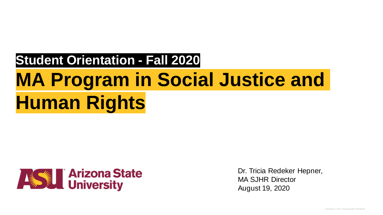# **Student Orientation - Fall 2020 MA Program in Social Justice and Human Rights**



Dr. Tricia Redeker Hepner, MA SJHR Director August 19, 2020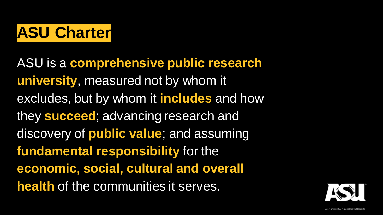

ASU is a **comprehensive public research university**, measured not by whom it excludes, but by whom it **includes** and how they **succeed**; advancing research and discovery of **public value**; and assuming **fundamental responsibility** for the **economic, social, cultural and overall health** of the communities it serves.

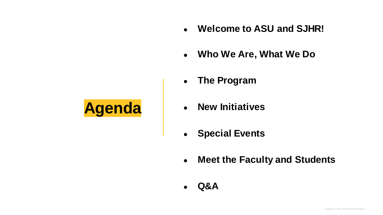**Agenda**

- **Welcome to ASU and SJHR!**
- **Who We Are, What We Do**
- **The Program**
- **New Initiatives**
- **Special Events**
- **Meet the Faculty and Students**
- **Q&A**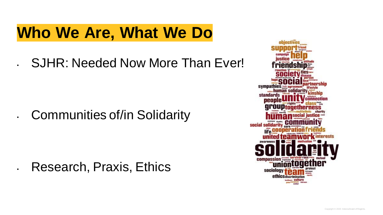### **Who We Are, What We Do**

### • SJHR: Needed Now More Than Ever!

### • Communities of/in Solidarity

### • Research, Praxis, Ethics

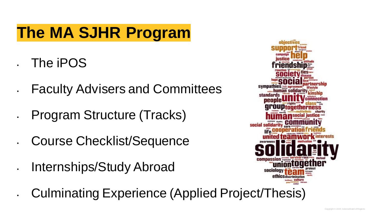### **The MA SJHR Program**

• The iPOS

- Faculty Advisers and Committees
- Program Structure (Tracks)
	- Course Checklist/Sequence
- Internships/Study Abroad
	- Culminating Experience (Applied Project/Thesis)

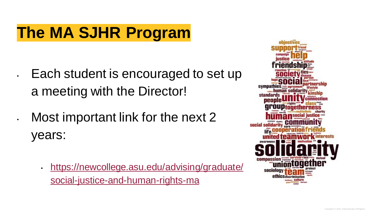### **The MA SJHR Program**

- Each student is encouraged to set up a meeting with the Director!
- Most important link for the next 2 years:
	- [https://newcollege.asu.edu/advising/graduate/](https://newcollege.asu.edu/advising/graduate/social-justice-and-human-rights-ma) social-justice-and-human-rights-ma

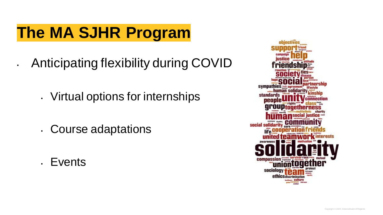### **The MA SJHR Program**

- Anticipating flexibility during COVID
	- Virtual options for internships
	- Course adaptations
	- Events

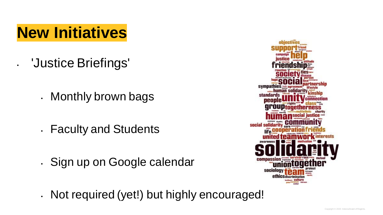- 'Justice Briefings'
	- Monthly brown bags
	- Faculty and Students
		- Sign up on Google calendar



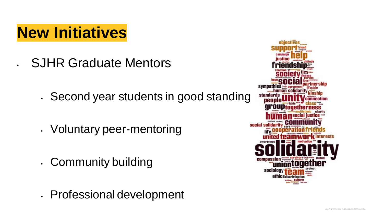• SJHR Graduate Mentors

- Second year students in good standing
- Voluntary peer-mentoring
- Community building
- Professional development

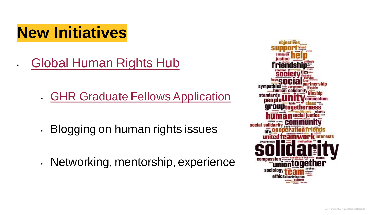• [Global Human Rights Hub](https://newcollege.asu.edu/global-human-rights-hub)

**[GHR Graduate Fellows Application](https://newcollege.asu.edu/global-human-rights-hub/fellows-program)** 

- Blogging on human rights issues
- Networking, mentorship, experience

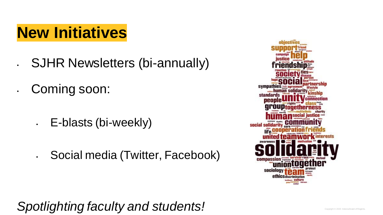• SJHR Newsletters (bi-annually)

• Coming soon:

• E-blasts (bi-weekly)

• Social media (Twitter, Facebook)

social solida sociolo

*Spotlighting faculty and students!*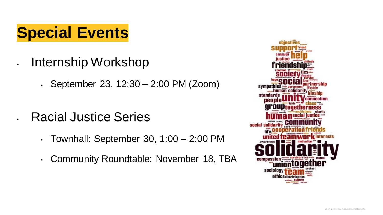### **Special Events**

- Internship Workshop
	- September 23, 12:30 2:00 PM (Zoom)
- Racial Justice Series
	- Townhall: September 30, 1:00 2:00 PM
	- Community Roundtable: November 18, TBA

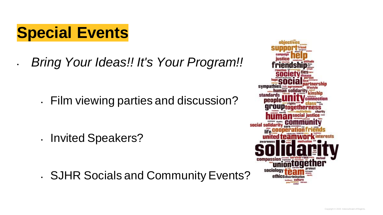**Special Events**

• *Bring Your Ideas!! It's Your Program!!*

• Film viewing parties and discussion?

• Invited Speakers?

• SJHR Socials and Community Events?

social solid sociol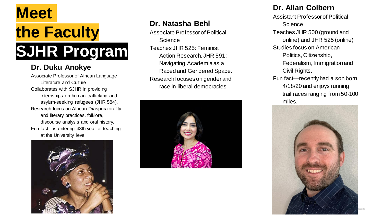

#### **Dr. Duku Anokye**

Associate Professor of African Language Literature and Culture Collaborates with SJHR in providing internships on human trafficking and asylum-seeking refugees (JHR 584). Research focus on African Diaspora orality and literary practices, folklore, discourse analysis and oral history. Fun fact—is entering 48th year of teaching at the University level.



#### **Dr. Natasha Behl**

Associate Professor of Political **Science** Teaches JHR 525: Feminist Action Research, JHR 591: Navigating Academia as a Raced and Gendered Space. Research focuses on gender and race in liberal democracies.



#### **Dr. Allan Colbern**

Assistant Professor of Political **Science** Teaches JHR 500 (ground and online) and JHR 525 (online) Studies focus on American Politics, Citizenship, Federalism, Immigration and Civil Rights. Fun fact—recently had a son born 4/18/20 and enjoys running trail races ranging from 50-100 miles.

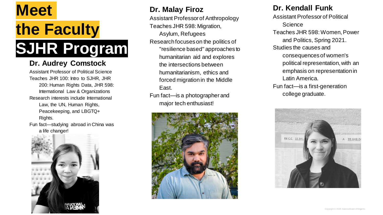

#### **Dr. Audrey Comstock**

Assistant Professor of Political Science Teaches JHR 100: Intro to SJHR, JHR 200: Human Rights Data, JHR 598: International Law & Organizations Research interests include International Law, the UN, Human Rights, Peacekeeping, and LBGTQ+ Rights.

Fun fact—studying abroad in China was a life changer!



#### **Dr. Malay Firoz**

Assistant Professor of Anthropology Teaches JHR 598: Migration, Asylum, Refugees Research focuses on the politics of "resilience based" approaches to humanitarian aid and explores the intersections between humanitarianism, ethics and forced migration in the Middle East.

Fun fact—is a photographer and major tech enthusiast!



#### **Dr. Kendall Funk**

Assistant Professor of Political **Science** Teaches JHR 598: Women, Power and Politics, Spring 2021. Studies the causes and consequences of women's political representation, with an emphasis on representation in Latin America. Fun fact—is a first-generation

college graduate.

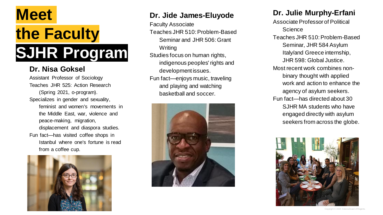

#### **Dr. Nisa Goksel**

Assistant Professor of Sociology Teaches JHR 525: Action Research (Spring 2021, o-program). Specializes in gender and sexuality, feminist and women's movements in the Middle East, war, violence and peace-making, migration, displacement and diaspora studies. Fun fact—has visited coffee shops in Istanbul where one's fortune is read from a coffee cup.



#### **Dr. Jide James-Eluyode**

Faculty Associate

Teaches JHR 510: Problem-Based Seminar and JHR 506: Grant **Writing** 

Studies focus on human rights, indigenous peoples' rights and development issues.

Fun fact—enjoys music, traveling and playing and watching basketball and soccer.



#### **Dr. Julie Murphy-Erfani**

Associate Professor of Political **Science** Teaches JHR 510: Problem-Based Seminar, JHR 584 Asylum Italy/and Greece internship, JHR 598: Global Justice. Most recent work combines nonbinary thought with applied work and action to enhance the agency of asylum seekers. Fun fact—has directed about 30 SJHR MA students who have engaged directly with asylum seekers from across the globe.

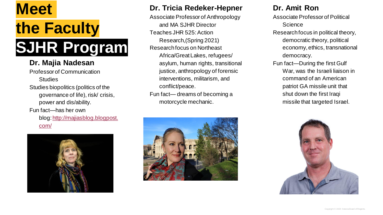### **Meet the Faculty**

# **SJHR Program**

#### **Dr. Majia Nadesan**

Professor of Communication **Studies** Studies biopolitics (politics of the governance of life), risk/ crisis, power and dis/ability. Fun fact—has her own

blog: [http://majiasblog.blogpost.](http://majiasblog.blogpost.com/) com/



#### **Dr. Tricia Redeker-Hepner**

Associate Professor of Anthropology and MA SJHR Director Teaches JHR 525: Action Research,(Spring 2021) Research focus on Northeast Africa/Great Lakes, refugees/ asylum, human rights, transitional justice, anthropology of forensic interventions, militarism, and conflict/peace.

Fun fact— dreams of becoming a motorcycle mechanic.



#### **Dr. Amit Ron**

Associate Professor of Political **Science** 

Research focus in political theory, democratic theory, political economy, ethics, transnational democracy.

Fun fact—During the first Gulf War, was the Israeli liaison in command of an American patriot GA missile unit that shut down the first Iraqi missile that targeted Israel.

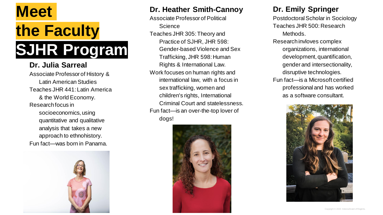

#### **Dr. Julia Sarreal**

Associate Professor of History & Latin American Studies Teaches JHR 441: Latin America & the World Economy. Research focus in socioeconomics, using quantitative and qualitative analysis that takes a new approach to ethnohistory. Fun fact—was born in Panama.



#### **Dr. Heather Smith-Cannoy**

Associate Professor of Political **Science** Teaches JHR 305: Theory and Practice of SJHR, JHR 598: Gender-based Violence and Sex Trafficking, JHR 598: Human Rights & International Law. Work focuses on human rights and international law, with a focus in sex trafficking, women and

children's rights, International Criminal Court and statelessness. Fun fact—is an over-the-top lover of dogs!



#### **Dr. Emily Springer**

Postdoctoral Scholar in Sociology Teaches JHR 500: Research Methods.

- Research invloves complex organizations, international development, quantification, gender and intersectionality, disruptive technologies.
- Fun fact—is a Microsoft certified professional and has worked as a software consultant.

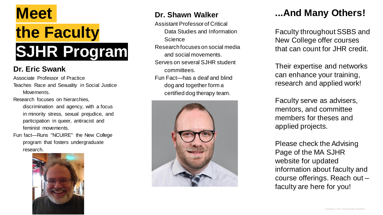

#### **Dr. Eric Swank**

Associate Professor of Practice Teaches Race and Sexuality in Social Justice Movements.

Research focuses on hierarchies,

discrimination and agency, with a focus in minority stress, sexual prejudice, and participation in queer, antiracist and feminist movements.

Fun fact—Runs "NCUIRE" the New College program that fosters undergraduate research.



#### **Dr. Shawn Walker**

Assistant Professor of Critical

Data Studies and Information **Science** 

Research focuses on social media and social movements.

Serves on several SJHR student committees.

Fun Fact—has a deaf and blind dog and together form a certified dog therapy team.



#### **...And Many Others!**

Faculty throughout SSBS and New College offer courses that can count for JHR credit.

Their expertise and networks can enhance your training, research and applied work!

Faculty serve as advisers, mentors, and committee members for theses and applied projects.

Please check the Advising Page of the MA SJHR website for updated information about faculty and course offerings. Reach out – faculty are here for you!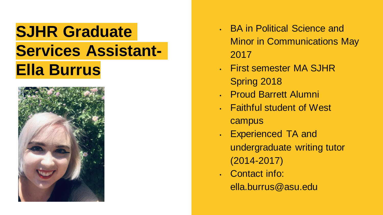### **SJHR Graduate Services Assistant-Ella Burrus**



- BA in Political Science and Minor in Communications May 2017
- First semester MA SJHR Spring 2018
- Proud Barrett Alumni
- Faithful student of West campus
- Experienced TA and undergraduate writing tutor (2014-2017)
- Contact info: ella.burrus@asu.edu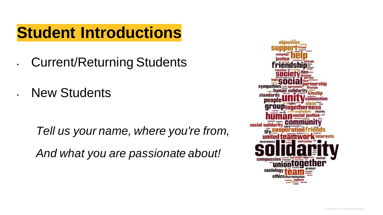### **Student Introductions**

• Current/Returning Students

• New Students

*Tell us your name, where you're from,*

*And what you are passionate about!*

social soli socio